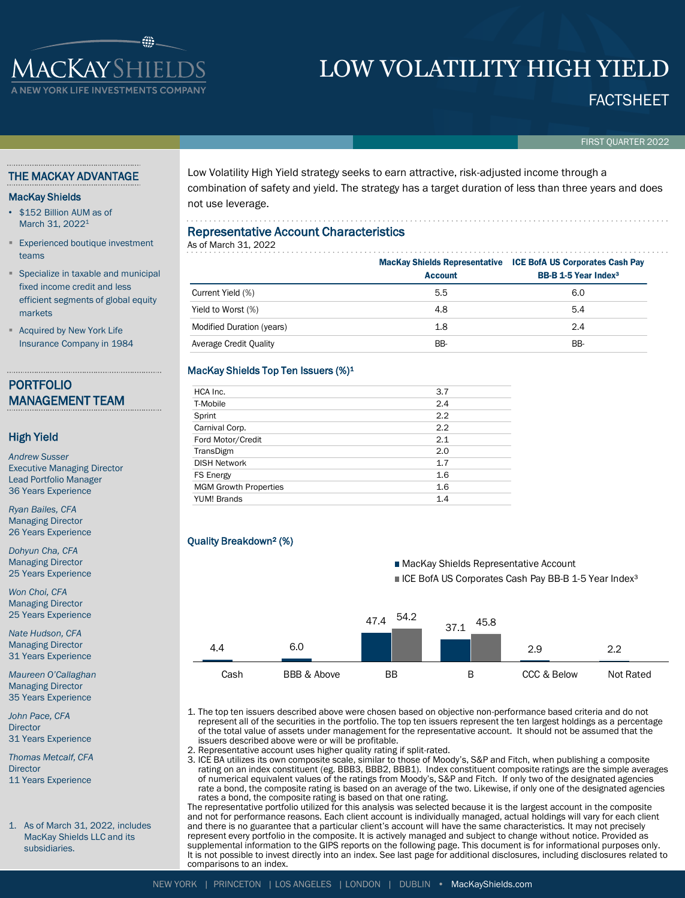# **ACKAYSHIEL** YORK LIFE INVESTMENTS CO

# LOW VOLATILITY HIGH YIELD

FACTSHEET

#### FIRST QUARTER 2022

#### THE MACKAY ADVANTAGE

#### MacKay Shields

- \$152 Billion AUM as of March 31, 2022<sup>1</sup>
- **Experienced boutique investment** teams
- Specialize in taxable and municipal fixed income credit and less efficient segments of global equity markets
- **Acquired by New York Life** Insurance Company in 1984

### PORTFOLIO MANAGEMENT TEAM

#### High Yield

*Andrew Susser* Executive Managing Director Lead Portfolio Manager 36 Years Experience

*Ryan Bailes, CFA* Managing Director 26 Years Experience

*Dohyun Cha, CFA* Managing Director 25 Years Experience

*Won Choi, CFA* Managing Director 25 Years Experience

*Nate Hudson, CFA* Managing Director 31 Years Experience

*Maureen O'Callaghan* Managing Director 35 Years Experience

*John Pace, CFA* **Director** 31 Years Experience

*Thomas Metcalf, CFA* **Director** 11 Years Experience

1. As of March 31, 2022, includes MacKay Shields LLC and its subsidiaries.

Low Volatility High Yield strategy seeks to earn attractive, risk-adjusted income through a combination of safety and yield. The strategy has a target duration of less than three years and does not use leverage.

#### Representative Account Characteristics

As of March 31, 2022

|                           | <b>Account</b> | <b>MacKay Shields Representative ICE BofA US Corporates Cash Pay</b><br><b>BB-B 1-5 Year Index<sup>3</sup></b> |
|---------------------------|----------------|----------------------------------------------------------------------------------------------------------------|
| Current Yield (%)         | 5.5            | 6.0                                                                                                            |
| Yield to Worst (%)        | 4.8            | 5.4                                                                                                            |
| Modified Duration (years) | 1.8            | 2.4                                                                                                            |
| Average Credit Quality    | BB-            | BB-                                                                                                            |

#### MacKay Shields Top Ten Issuers (%)<sup>1</sup>

| HCA Inc.                     | 3.7 |
|------------------------------|-----|
| T-Mobile                     | 2.4 |
| Sprint                       | 2.2 |
| Carnival Corp.               | 2.2 |
| Ford Motor/Credit            | 2.1 |
| TransDigm                    | 2.0 |
| <b>DISH Network</b>          | 1.7 |
| <b>FS Energy</b>             | 1.6 |
| <b>MGM Growth Properties</b> | 1.6 |
| <b>YUM! Brands</b>           | 1.4 |

#### Quality Breakdown² (%)



1. The top ten issuers described above were chosen based on objective non-performance based criteria and do not represent all of the securities in the portfolio. The top ten issuers represent the ten largest holdings as a percentage of the total value of assets under management for the representative account. It should not be assumed that the issuers described above were or will be profitable.

- 2. Representative account uses higher quality rating if split-rated.
- 3. ICE BA utilizes its own composite scale, similar to those of Moody's, S&P and Fitch, when publishing a composite rating on an index constituent (eg. BBB3, BBB2, BBB1). Index constituent composite ratings are the simple averages of numerical equivalent values of the ratings from Moody's, S&P and Fitch. If only two of the designated agencies rate a bond, the composite rating is based on an average of the two. Likewise, if only one of the designated agencies rates a bond, the composite rating is based on that one rating.

The representative portfolio utilized for this analysis was selected because it is the largest account in the composite and not for performance reasons. Each client account is individually managed, actual holdings will vary for each client and there is no guarantee that a particular client's account will have the same characteristics. It may not precisely represent every portfolio in the composite. It is actively managed and subject to change without notice. Provided as supplemental information to the GIPS reports on the following page. This document is for informational purposes only. It is not possible to invest directly into an index. See last page for additional disclosures, including disclosures related to comparisons to an index.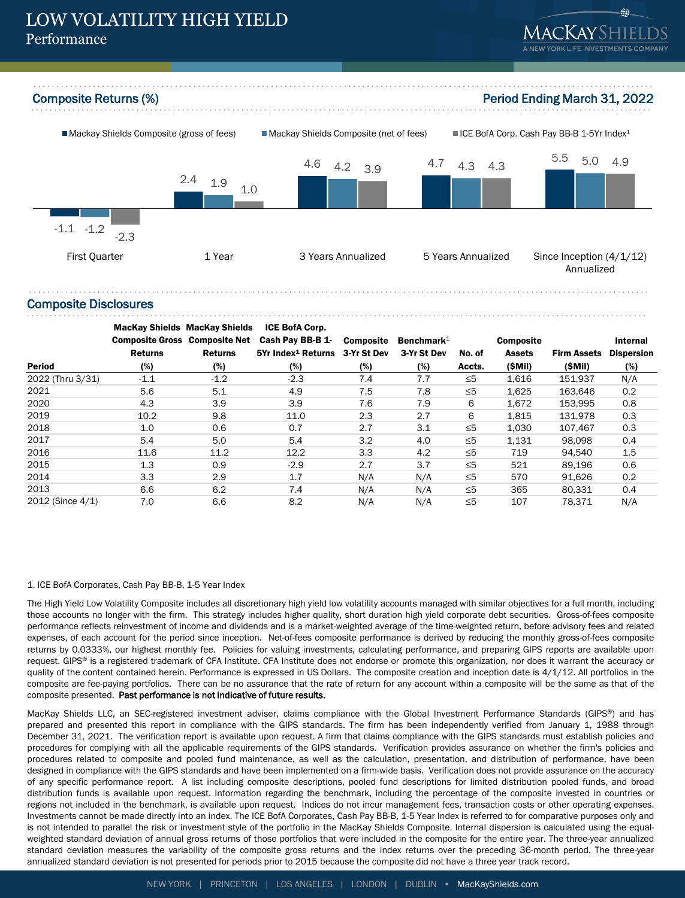## LOW VOLATILITY HIGH YIELD Performance





#### Composite Disclosures

|                  | <b>MacKay Shields MacKay Shields</b> |                | <b>ICE BofA Corp.</b>                      |                  |               |          |                  |                    |                   |
|------------------|--------------------------------------|----------------|--------------------------------------------|------------------|---------------|----------|------------------|--------------------|-------------------|
|                  | <b>Composite Gross Composite Net</b> |                | Cash Pay BB-B 1-                           | <b>Composite</b> | Benchmark $1$ |          | <b>Composite</b> |                    | Internal          |
|                  | <b>Returns</b>                       | <b>Returns</b> | 5Yr Index <sup>1</sup> Returns 3-Yr St Dev |                  | 3-Yr St Dev   | No. of   | <b>Assets</b>    | <b>Firm Assets</b> | <b>Dispersion</b> |
| <b>Period</b>    | (%)                                  | (%)            | (%)                                        | $(\%)$           | (%)           | Accts.   | (SMil)           | (SMil)             | (%)               |
| 2022 (Thru 3/31) | $-1.1$                               | $-1.2$         | $-2.3$                                     | 7.4              | 7.7           | $\leq 5$ | 1,616            | 151.937            | N/A               |
| 2021             | 5.6                                  | 5.1            | 4.9                                        | 7.5              | 7.8           | $\leq 5$ | 1.625            | 163.646            | 0.2               |
| 2020             | 4.3                                  | 3.9            | 3.9                                        | 7.6              | 7.9           | 6        | 1,672            | 153.995            | 0.8               |
| 2019             | 10.2                                 | 9.8            | 11.0                                       | 2.3              | 2.7           | 6        | 1,815            | 131,978            | 0.3               |
| 2018             | 1.0                                  | 0.6            | 0.7                                        | 2.7              | 3.1           | $\leq 5$ | 1.030            | 107.467            | 0.3               |
| 2017             | 5.4                                  | 5.0            | 5.4                                        | 3.2              | 4.0           | $\leq 5$ | 1,131            | 98.098             | 0.4               |
| 2016             | 11.6                                 | 11.2           | 12.2                                       | 3.3              | 4.2           | $\leq 5$ | 719              | 94.540             | 1.5               |
| 2015             | 1.3                                  | 0.9            | $-2.9$                                     | 2.7              | 3.7           | $\leq 5$ | 521              | 89.196             | 0.6               |
| 2014             | 3.3                                  | 2.9            | 1.7                                        | N/A              | N/A           | $\leq 5$ | 570              | 91,626             | 0.2               |
| 2013             | 6.6                                  | 6.2            | 7.4                                        | N/A              | N/A           | $\leq 5$ | 365              | 80,331             | 0.4               |
| 2012 (Since 4/1) | 7.0                                  | 6.6            | 8.2                                        | N/A              | N/A           | $\leq 5$ | 107              | 78.371             | N/A               |

#### 1. ICE BofA Corporates, Cash Pay BB-B, 1-5 Year Index

The High Yield Low Volatility Composite includes all discretionary high yield low volatility accounts managed with similar objectives for a full month, including those accounts no longer with the firm. This strategy includes higher quality, short duration high yield corporate debt securities. Gross-of-fees composite performance reflects reinvestment of income and dividends and is a market-weighted average of the time-weighted return, before advisory fees and related expenses, of each account for the period since inception. Net-of-fees composite performance is derived by reducing the monthly gross-of-fees composite returns by 0.0333%, our highest monthly fee. Policies for valuing investments, calculating performance, and preparing GIPS reports are available upon request. GIPS® is a registered trademark of CFA Institute. CFA Institute does not endorse or promote this organization, nor does it warrant the accuracy or quality of the content contained herein. Performance is expressed in US Dollars. The composite creation and inception date is 4/1/12. All portfolios in the composite are fee-paying portfolios. There can be no assurance that the rate of return for any account within a composite will be the same as that of the composite presented. Past performance is not indicative of future results.

MacKay Shields LLC, an SEC-registered investment adviser, claims compliance with the Global Investment Performance Standards (GIPS®) and has prepared and presented this report in compliance with the GIPS standards. The firm has been independently verified from January 1, 1988 through December 31, 2021. The verification report is available upon request. A firm that claims compliance with the GIPS standards must establish policies and procedures for complying with all the applicable requirements of the GIPS standards. Verification provides assurance on whether the firm's policies and procedures related to composite and pooled fund maintenance, as well as the calculation, presentation, and distribution of performance, have been designed in compliance with the GIPS standards and have been implemented on a firm-wide basis. Verification does not provide assurance on the accuracy of any specific performance report. A list including composite descriptions, pooled fund descriptions for limited distribution pooled funds, and broad distribution funds is available upon request. Information regarding the benchmark, including the percentage of the composite invested in countries or regions not included in the benchmark, is available upon request. Indices do not incur management fees, transaction costs or other operating expenses. Investments cannot be made directly into an index. The ICE BofA Corporates, Cash Pay BB-B, 1-5 Year Index is referred to for comparative purposes only and is not intended to parallel the risk or investment style of the portfolio in the MacKay Shields Composite. Internal dispersion is calculated using the equalweighted standard deviation of annual gross returns of those portfolios that were included in the composite for the entire year. The three-year annualized standard deviation measures the variability of the composite gross returns and the index returns over the preceding 36-month period. The three-year annualized standard deviation is not presented for periods prior to 2015 because the composite did not have a three year track record.